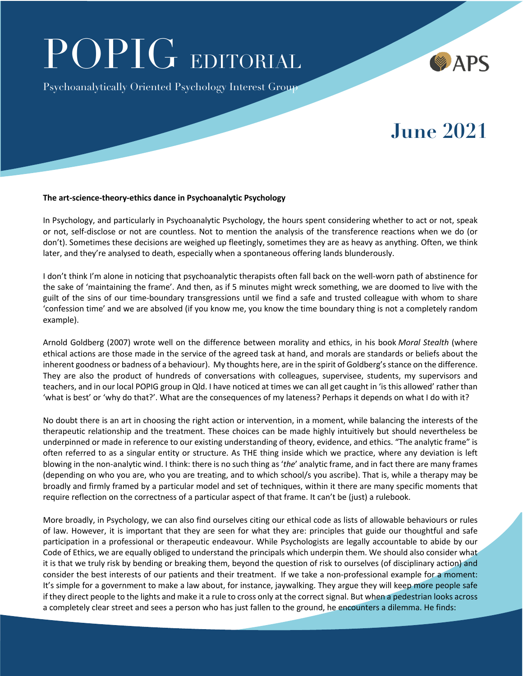# POPIG EDITORIAL

Psychoanalytically Oriented Psychology Interest Group

## APS

### **June 2021**

### **The art-science-theory-ethics dance in Psychoanalytic Psychology**

In Psychology, and particularly in Psychoanalytic Psychology, the hours spent considering whether to act or not, speak or not, self-disclose or not are countless. Not to mention the analysis of the transference reactions when we do (or don't). Sometimes these decisions are weighed up fleetingly, sometimes they are as heavy as anything. Often, we think later, and they're analysed to death, especially when a spontaneous offering lands blunderously.

I don't think I'm alone in noticing that psychoanalytic therapists often fall back on the well-worn path of abstinence for the sake of 'maintaining the frame'. And then, as if 5 minutes might wreck something, we are doomed to live with the guilt of the sins of our time-boundary transgressions until we find a safe and trusted colleague with whom to share 'confession time' and we are absolved (if you know me, you know the time boundary thing is not a completely random example).

Arnold Goldberg (2007) wrote well on the difference between morality and ethics, in his book *Moral Stealth* (where ethical actions are those made in the service of the agreed task at hand, and morals are standards or beliefs about the inherent goodness or badness of a behaviour). My thoughts here, are in the spirit of Goldberg's stance on the difference. They are also the product of hundreds of conversations with colleagues, supervisee, students, my supervisors and teachers, and in our local POPIG group in Qld. I have noticed at times we can all get caught in 'is this allowed' rather than 'what is best' or 'why do that?'. What are the consequences of my lateness? Perhaps it depends on what I do with it?

No doubt there is an art in choosing the right action or intervention, in a moment, while balancing the interests of the therapeutic relationship and the treatment. These choices can be made highly intuitively but should nevertheless be underpinned or made in reference to our existing understanding of theory, evidence, and ethics. "The analytic frame" is often referred to as a singular entity or structure. As THE thing inside which we practice, where any deviation is left blowing in the non-analytic wind. I think: there is no such thing as '*the*' analytic frame, and in fact there are many frames (depending on who you are, who you are treating, and to which school/s you ascribe). That is, while a therapy may be broadly and firmly framed by a particular model and set of techniques, within it there are many specific moments that require reflection on the correctness of a particular aspect of that frame. It can't be (just) a rulebook.

More broadly, in Psychology, we can also find ourselves citing our ethical code as lists of allowable behaviours or rules of law. However, it is important that they are seen for what they are: principles that guide our thoughtful and safe participation in a professional or therapeutic endeavour. While Psychologists are legally accountable to abide by our Code of Ethics, we are equally obliged to understand the principals which underpin them. We should also consider what it is that we truly risk by bending or breaking them, beyond the question of risk to ourselves (of disciplinary action) and consider the best interests of our patients and their treatment. If we take a non-professional example for a moment: It's simple for a government to make a law about, for instance, jaywalking. They argue they will keep more people safe if they direct people to the lights and make it a rule to cross only at the correct signal. But when a pedestrian looks across a completely clear street and sees a person who has just fallen to the ground, he encounters a dilemma. He finds: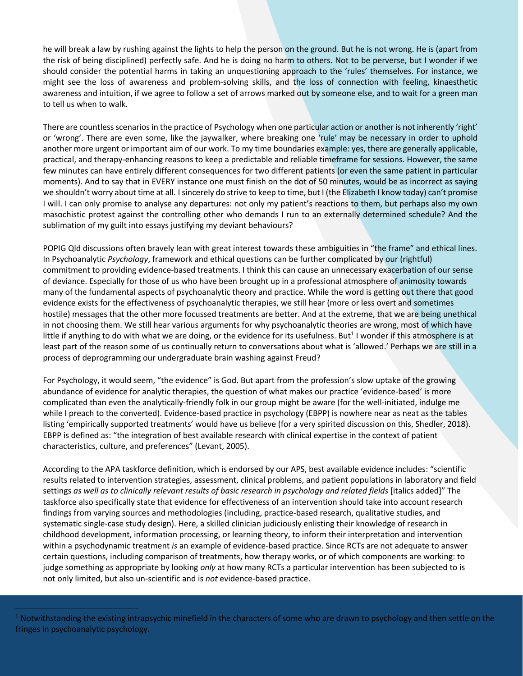he will break a law by rushing against the lights to help the person on the ground. But he is not wrong. He is (apart from the risk of being disciplined) perfectly safe. And he is doing no harm to others. Not to be perverse, but I wonder if we should consider the potential harms in taking an unquestioning approach to the 'rules' themselves. For instance, we might see the loss of awareness and problem-solving skills, and the loss of connection with feeling, kinaesthetic awareness and intuition, if we agree to follow a set of arrows marked out by someone else, and to wait for a green man to tell us when to walk.

There are countless scenarios in the practice of Psychology when one particular action or another is not inherently 'right' or 'wrong'. There are even some, like the jaywalker, where breaking one 'rule' may be necessary in order to uphold another more urgent or important aim of our work. To my time boundaries example: yes, there are generally applicable, practical, and therapy-enhancing reasons to keep a predictable and reliable timeframe for sessions. However, the same few minutes can have entirely different consequences for two different patients (or even the same patient in particular moments). And to say that in EVERY instance one must finish on the dot of 50 minutes, would be as incorrect as saying we shouldn't worry about time at all. I sincerely do strive to keep to time, but I (the Elizabeth I know today) can't promise I will. I can only promise to analyse any departures: not only my patient's reactions to them, but perhaps also my own masochistic protest against the controlling other who demands I run to an externally determined schedule? And the sublimation of my guilt into essays justifying my deviant behaviours?

POPIG Qld discussions often bravely lean with great interest towards these ambiguities in "the frame" and ethical lines. In Psychoanalytic *Psychology*, framework and ethical questions can be further complicated by our (rightful) commitment to providing evidence-based treatments. I think this can cause an unnecessary exacerbation of our sense of deviance. Especially for those of us who have been brought up in a professional atmosphere of animosity towards many of the fundamental aspects of psychoanalytic theory and practice. While the word is getting out there that good evidence exists for the effectiveness of psychoanalytic therapies, we still hear (more or less overt and sometimes hostile) messages that the other more focussed treatments are better. And at the extreme, that we are being unethical in not choosing them. We still hear various arguments for why psychoanalytic theories are wrong, most of which have little if anything to do with what we are doing, or the evidence for its usefulness. But<sup>1</sup> I wonder if this atmosphere is at least part of the reason some of us continually return to conversations about what is 'allowed.' Perhaps we are still in a process of deprogramming our undergraduate brain washing against Freud?

For Psychology, it would seem, "the evidence" is God. But apart from the profession's slow uptake of the growing abundance of evidence for analytic therapies, the question of what makes our practice 'evidence-based' is more complicated than even the analytically-friendly folk in our group might be aware (for the well-initiated, indulge me while I preach to the converted). Evidence-based practice in psychology (EBPP) is nowhere near as neat as the tables listing 'empirically supported treatments' would have us believe (for a very spirited discussion on this, Shedler, 2018). EBPP is defined as: "the integration of best available research with clinical expertise in the context of patient characteristics, culture, and preferences" (Levant, 2005).

According to the APA taskforce definition, which is endorsed by our APS, best available evidence includes: "scientific results related to intervention strategies, assessment, clinical problems, and patient populations in laboratory and field settings *as well as to clinically relevant results of basic research in psychology and related fields* [italics added]" The taskforce also specifically state that evidence for effectiveness of an intervention should take into account research findings from varying sources and methodologies (including, practice-based research, qualitative studies, and systematic single-case study design). Here, a skilled clinician judiciously enlisting their knowledge of research in childhood development, information processing, or learning theory, to inform their interpretation and intervention within a psychodynamic treatment *is* an example of evidence-based practice. Since RCTs are not adequate to answer certain questions, including comparison of treatments, how therapy works, or of which components are working: to judge something as appropriate by looking *only* at how many RCTs a particular intervention has been subjected to is not only limited, but also un-scientific and is *not* evidence-based practice.

<sup>1</sup> Notwithstanding the existing intrapsychic minefield in the characters of some who are drawn to psychology and then settle on the fringes in psychoanalytic psychology.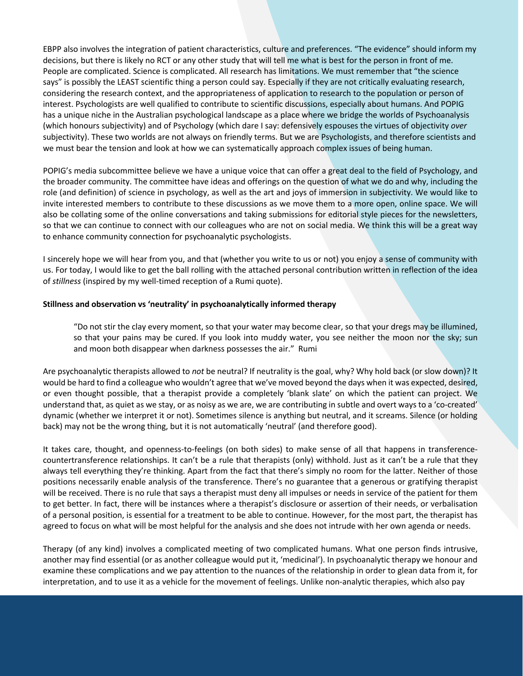EBPP also involves the integration of patient characteristics, culture and preferences. "The evidence" should inform my decisions, but there is likely no RCT or any other study that will tell me what is best for the person in front of me. People are complicated. Science is complicated. All research has limitations. We must remember that "the science says" is possibly the LEAST scientific thing a person could say. Especially if they are not critically evaluating research, considering the research context, and the appropriateness of application to research to the population or person of interest. Psychologists are well qualified to contribute to scientific discussions, especially about humans. And POPIG has a unique niche in the Australian psychological landscape as a place where we bridge the worlds of Psychoanalysis (which honours subjectivity) and of Psychology (which dare I say: defensively espouses the virtues of objectivity *over*  subjectivity). These two worlds are not always on friendly terms. But we are Psychologists, and therefore scientists and we must bear the tension and look at how we can systematically approach complex issues of being human.

POPIG's media subcommittee believe we have a unique voice that can offer a great deal to the field of Psychology, and the broader community. The committee have ideas and offerings on the question of what we do and why, including the role (and definition) of science in psychology, as well as the art and joys of immersion in subjectivity. We would like to invite interested members to contribute to these discussions as we move them to a more open, online space. We will also be collating some of the online conversations and taking submissions for editorial style pieces for the newsletters, so that we can continue to connect with our colleagues who are not on social media. We think this will be a great way to enhance community connection for psychoanalytic psychologists.

I sincerely hope we will hear from you, and that (whether you write to us or not) you enjoy a sense of community with us. For today, I would like to get the ball rolling with the attached personal contribution written in reflection of the idea of *stillness* (inspired by my well-timed reception of a Rumi quote).

#### **Stillness and observation vs 'neutrality' in psychoanalytically informed therapy**

"Do not stir the clay every moment, so that your water may become clear, so that your dregs may be illumined, so that your pains may be cured. If you look into muddy water, you see neither the moon nor the sky; sun and moon both disappear when darkness possesses the air." Rumi

Are psychoanalytic therapists allowed to *not* be neutral? If neutrality is the goal, why? Why hold back (or slow down)? It would be hard to find a colleague who wouldn't agree that we've moved beyond the days when it was expected, desired, or even thought possible, that a therapist provide a completely 'blank slate' on which the patient can project. We understand that, as quiet as we stay, or as noisy as we are, we are contributing in subtle and overt ways to a 'co-created' dynamic (whether we interpret it or not). Sometimes silence is anything but neutral, and it screams. Silence (or holding back) may not be the wrong thing, but it is not automatically 'neutral' (and therefore good).

It takes care, thought, and openness-to-feelings (on both sides) to make sense of all that happens in transferencecountertransference relationships. It can't be a rule that therapists (only) withhold. Just as it can't be a rule that they always tell everything they're thinking. Apart from the fact that there's simply no room for the latter. Neither of those positions necessarily enable analysis of the transference. There's no guarantee that a generous or gratifying therapist will be received. There is no rule that says a therapist must deny all impulses or needs in service of the patient for them to get better. In fact, there will be instances where a therapist's disclosure or assertion of their needs, or verbalisation of a personal position, is essential for a treatment to be able to continue. However, for the most part, the therapist has agreed to focus on what will be most helpful for the analysis and she does not intrude with her own agenda or needs.

Therapy (of any kind) involves a complicated meeting of two complicated humans. What one person finds intrusive, another may find essential (or as another colleague would put it, 'medicinal'). In psychoanalytic therapy we honour and examine these complications and we pay attention to the nuances of the relationship in order to glean data from it, for interpretation, and to use it as a vehicle for the movement of feelings. Unlike non-analytic therapies, which also pay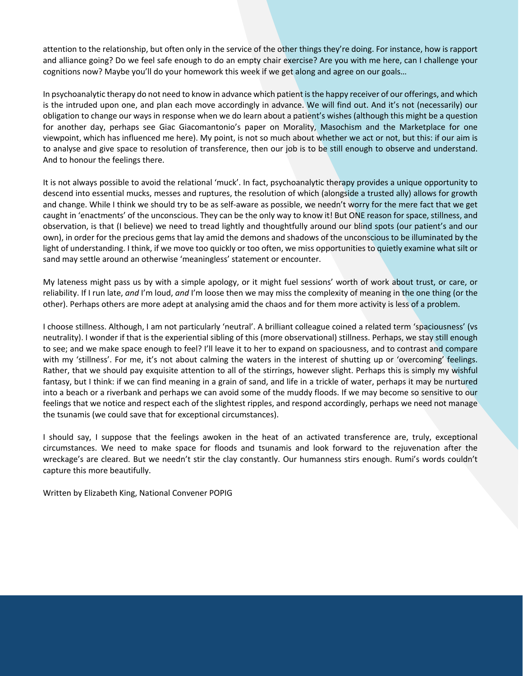attention to the relationship, but often only in the service of the other things they're doing. For instance, how is rapport and alliance going? Do we feel safe enough to do an empty chair exercise? Are you with me here, can I challenge your cognitions now? Maybe you'll do your homework this week if we get along and agree on our goals…

In psychoanalytic therapy do not need to know in advance which patient is the happy receiver of our offerings, and which is the intruded upon one, and plan each move accordingly in advance. We will find out. And it's not (necessarily) our obligation to change our ways in response when we do learn about a patient's wishes (although this might be a question for another day, perhaps see Giac Giacomantonio's paper on Morality, Masochism and the Marketplace for one viewpoint, which has influenced me here). My point, is not so much about whether we act or not, but this: if our aim is to analyse and give space to resolution of transference, then our job is to be still enough to observe and understand. And to honour the feelings there.

It is not always possible to avoid the relational 'muck'. In fact, psychoanalytic therapy provides a unique opportunity to descend into essential mucks, messes and ruptures, the resolution of which (alongside a trusted ally) allows for growth and change. While I think we should try to be as self-aware as possible, we needn't worry for the mere fact that we get caught in 'enactments' of the unconscious. They can be the only way to know it! But ONE reason for space, stillness, and observation, is that (I believe) we need to tread lightly and thoughtfully around our blind spots (our patient's and our own), in order for the precious gems that lay amid the demons and shadows of the unconscious to be illuminated by the light of understanding. I think, if we move too quickly or too often, we miss opportunities to quietly examine what silt or sand may settle around an otherwise 'meaningless' statement or encounter.

My lateness might pass us by with a simple apology, or it might fuel sessions' worth of work about trust, or care, or reliability. If I run late, *and* I'm loud, *and* I'm loose then we may miss the complexity of meaning in the one thing (or the other). Perhaps others are more adept at analysing amid the chaos and for them more activity is less of a problem.

I choose stillness. Although, I am not particularly 'neutral'. A brilliant colleague coined a related term 'spaciousness' (vs neutrality). I wonder if that is the experiential sibling of this (more observational) stillness. Perhaps, we stay still enough to see; and we make space enough to feel? I'll leave it to her to expand on spaciousness, and to contrast and compare with my 'stillness'. For me, it's not about calming the waters in the interest of shutting up or 'overcoming' feelings. Rather, that we should pay exquisite attention to all of the stirrings, however slight. Perhaps this is simply my wishful fantasy, but I think: if we can find meaning in a grain of sand, and life in a trickle of water, perhaps it may be nurtured into a beach or a riverbank and perhaps we can avoid some of the muddy floods. If we may become so sensitive to our feelings that we notice and respect each of the slightest ripples, and respond accordingly, perhaps we need not manage the tsunamis (we could save that for exceptional circumstances).

I should say, I suppose that the feelings awoken in the heat of an activated transference are, truly, exceptional circumstances. We need to make space for floods and tsunamis and look forward to the rejuvenation after the wreckage's are cleared. But we needn't stir the clay constantly. Our humanness stirs enough. Rumi's words couldn't capture this more beautifully.

Written by Elizabeth King, National Convener POPIG